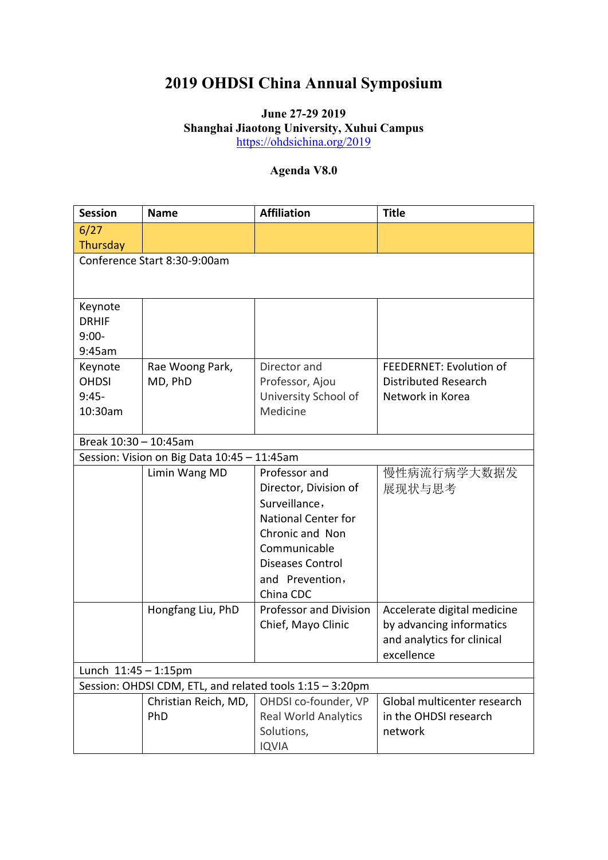## **2019 OHDSI China Annual Symposium**

## **June 27-29 2019 Shanghai Jiaotong University, Xuhui Campus** <https://ohdsichina.org/2019>

## **Agenda V8.0**

| <b>Session</b>                                           | <b>Name</b>                                 | <b>Affiliation</b>                      | <b>Title</b>                |  |  |
|----------------------------------------------------------|---------------------------------------------|-----------------------------------------|-----------------------------|--|--|
| 6/27                                                     |                                             |                                         |                             |  |  |
| Thursday                                                 |                                             |                                         |                             |  |  |
|                                                          | Conference Start 8:30-9:00am                |                                         |                             |  |  |
|                                                          |                                             |                                         |                             |  |  |
|                                                          |                                             |                                         |                             |  |  |
| Keynote<br><b>DRHIF</b>                                  |                                             |                                         |                             |  |  |
| $9:00-$                                                  |                                             |                                         |                             |  |  |
| 9:45am                                                   |                                             |                                         |                             |  |  |
| Keynote                                                  | Rae Woong Park,                             | Director and                            | FEEDERNET: Evolution of     |  |  |
| <b>OHDSI</b>                                             | MD, PhD                                     | Professor, Ajou                         | <b>Distributed Research</b> |  |  |
| $9:45-$                                                  |                                             | University School of                    | Network in Korea            |  |  |
| 10:30am                                                  |                                             | Medicine                                |                             |  |  |
|                                                          |                                             |                                         |                             |  |  |
| Break 10:30 - 10:45am                                    |                                             |                                         |                             |  |  |
|                                                          | Session: Vision on Big Data 10:45 - 11:45am |                                         |                             |  |  |
|                                                          | Limin Wang MD                               | Professor and                           | 慢性病流行病学大数据发                 |  |  |
|                                                          |                                             | Director, Division of                   | 展现状与思考                      |  |  |
|                                                          |                                             | Surveillance,                           |                             |  |  |
|                                                          |                                             | <b>National Center for</b>              |                             |  |  |
|                                                          |                                             | Chronic and Non                         |                             |  |  |
|                                                          |                                             | Communicable<br><b>Diseases Control</b> |                             |  |  |
|                                                          |                                             | and Prevention,                         |                             |  |  |
|                                                          |                                             | China CDC                               |                             |  |  |
|                                                          | Hongfang Liu, PhD                           | Professor and Division                  | Accelerate digital medicine |  |  |
|                                                          |                                             | Chief, Mayo Clinic                      | by advancing informatics    |  |  |
|                                                          |                                             |                                         | and analytics for clinical  |  |  |
|                                                          |                                             |                                         | excellence                  |  |  |
| Lunch $11:45 - 1:15$ pm                                  |                                             |                                         |                             |  |  |
| Session: OHDSI CDM, ETL, and related tools 1:15 - 3:20pm |                                             |                                         |                             |  |  |
|                                                          | Christian Reich, MD,                        | OHDSI co-founder, VP                    | Global multicenter research |  |  |
|                                                          | PhD                                         | <b>Real World Analytics</b>             | in the OHDSI research       |  |  |
|                                                          |                                             | Solutions,                              | network                     |  |  |
|                                                          |                                             | <b>IQVIA</b>                            |                             |  |  |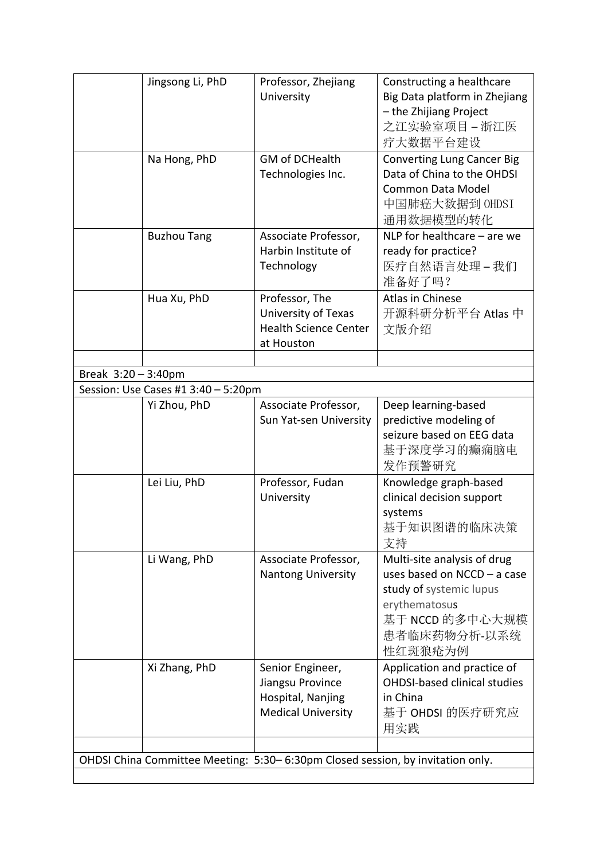|                                                                                | Jingsong Li, PhD                    | Professor, Zhejiang<br>University                                                      | Constructing a healthcare<br>Big Data platform in Zhejiang<br>- the Zhijiang Project<br>之江实验室项目-浙江医<br>疗大数据平台建设                                      |  |
|--------------------------------------------------------------------------------|-------------------------------------|----------------------------------------------------------------------------------------|------------------------------------------------------------------------------------------------------------------------------------------------------|--|
|                                                                                | Na Hong, PhD                        | <b>GM of DCHealth</b><br>Technologies Inc.                                             | <b>Converting Lung Cancer Big</b><br>Data of China to the OHDSI<br>Common Data Model<br>中国肺癌大数据到 OHDSI<br>通用数据模型的转化                                  |  |
|                                                                                | <b>Buzhou Tang</b>                  | Associate Professor,<br>Harbin Institute of<br>Technology                              | NLP for healthcare $-$ are we<br>ready for practice?<br>医疗自然语言处理-我们<br>准备好了吗?                                                                        |  |
|                                                                                | Hua Xu, PhD                         | Professor, The<br>University of Texas<br><b>Health Science Center</b><br>at Houston    | Atlas in Chinese<br>开源科研分析平台 Atlas 中<br>文版介绍                                                                                                         |  |
|                                                                                |                                     |                                                                                        |                                                                                                                                                      |  |
| Break $3:20 - 3:40$ pm                                                         | Session: Use Cases #1 3:40 - 5:20pm |                                                                                        |                                                                                                                                                      |  |
|                                                                                | Yi Zhou, PhD                        | Associate Professor,<br>Sun Yat-sen University                                         | Deep learning-based<br>predictive modeling of<br>seizure based on EEG data<br>基于深度学习的癫痫脑电<br>发作预警研究                                                  |  |
|                                                                                | Lei Liu, PhD                        | Professor, Fudan<br>University                                                         | Knowledge graph-based<br>clinical decision support<br>systems<br>基于知识图谱的临床决策<br>支持                                                                   |  |
|                                                                                | Li Wang, PhD                        | Associate Professor,<br><b>Nantong University</b>                                      | Multi-site analysis of drug<br>uses based on NCCD - a case<br>study of systemic lupus<br>erythematosus<br>基于 NCCD 的多中心大规模<br>患者临床药物分析-以系统<br>性红斑狼疮为例 |  |
|                                                                                | Xi Zhang, PhD                       | Senior Engineer,<br>Jiangsu Province<br>Hospital, Nanjing<br><b>Medical University</b> | Application and practice of<br><b>OHDSI-based clinical studies</b><br>in China<br>基于 OHDSI 的医疗研究应<br>用实践                                             |  |
|                                                                                |                                     |                                                                                        |                                                                                                                                                      |  |
| OHDSI China Committee Meeting: 5:30-6:30pm Closed session, by invitation only. |                                     |                                                                                        |                                                                                                                                                      |  |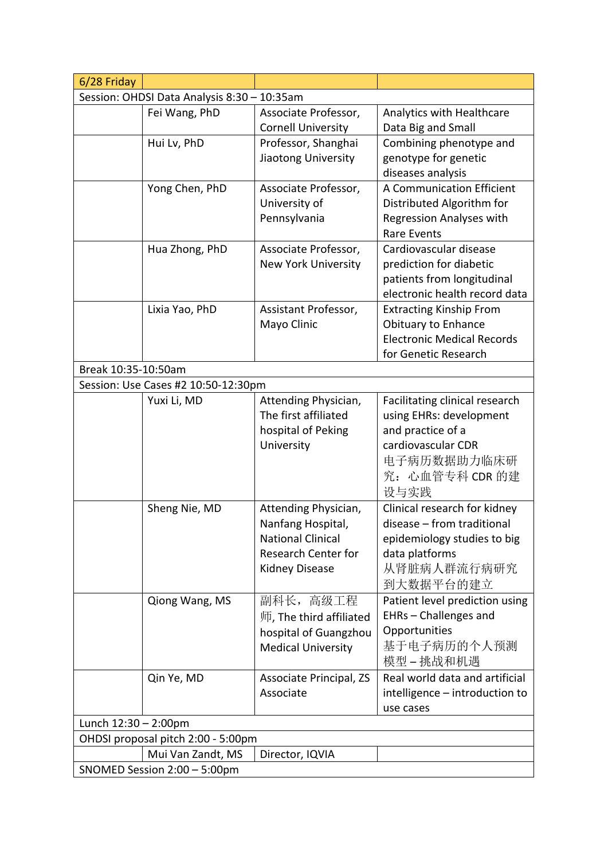| 6/28 Friday                                                   |                                     |                                               |                                                            |  |  |
|---------------------------------------------------------------|-------------------------------------|-----------------------------------------------|------------------------------------------------------------|--|--|
| Session: OHDSI Data Analysis 8:30 - 10:35am                   |                                     |                                               |                                                            |  |  |
|                                                               | Fei Wang, PhD                       | Associate Professor,                          | Analytics with Healthcare                                  |  |  |
|                                                               |                                     | <b>Cornell University</b>                     | Data Big and Small                                         |  |  |
|                                                               | Hui Lv, PhD                         | Professor, Shanghai                           | Combining phenotype and                                    |  |  |
|                                                               |                                     | Jiaotong University                           | genotype for genetic                                       |  |  |
|                                                               |                                     |                                               | diseases analysis                                          |  |  |
|                                                               | Yong Chen, PhD                      | Associate Professor,                          | A Communication Efficient                                  |  |  |
|                                                               |                                     | University of                                 | Distributed Algorithm for                                  |  |  |
|                                                               |                                     | Pennsylvania                                  | <b>Regression Analyses with</b>                            |  |  |
|                                                               |                                     |                                               | <b>Rare Events</b>                                         |  |  |
|                                                               | Hua Zhong, PhD                      | Associate Professor,                          | Cardiovascular disease                                     |  |  |
|                                                               |                                     | <b>New York University</b>                    | prediction for diabetic                                    |  |  |
|                                                               |                                     |                                               | patients from longitudinal                                 |  |  |
|                                                               |                                     |                                               | electronic health record data                              |  |  |
|                                                               | Lixia Yao, PhD                      | Assistant Professor,                          | <b>Extracting Kinship From</b>                             |  |  |
|                                                               |                                     | Mayo Clinic                                   | Obituary to Enhance                                        |  |  |
|                                                               |                                     |                                               | <b>Electronic Medical Records</b>                          |  |  |
|                                                               |                                     |                                               | for Genetic Research                                       |  |  |
| Break 10:35-10:50am                                           |                                     |                                               |                                                            |  |  |
|                                                               | Session: Use Cases #2 10:50-12:30pm |                                               |                                                            |  |  |
|                                                               | Yuxi Li, MD                         | Attending Physician,<br>The first affiliated  | Facilitating clinical research                             |  |  |
|                                                               |                                     |                                               | using EHRs: development<br>and practice of a               |  |  |
|                                                               |                                     | hospital of Peking<br>University              | cardiovascular CDR                                         |  |  |
|                                                               |                                     |                                               | 电子病历数据助力临床研                                                |  |  |
|                                                               |                                     |                                               | 究: 心血管专科 CDR 的建                                            |  |  |
|                                                               |                                     |                                               |                                                            |  |  |
|                                                               |                                     |                                               | 设与实践                                                       |  |  |
|                                                               | Sheng Nie, MD                       | Attending Physician,                          | Clinical research for kidney<br>disease - from traditional |  |  |
|                                                               |                                     | Nanfang Hospital,<br><b>National Clinical</b> |                                                            |  |  |
|                                                               |                                     | <b>Research Center for</b>                    | epidemiology studies to big                                |  |  |
|                                                               |                                     |                                               | data platforms<br>从肾脏病人群流行病研究                              |  |  |
|                                                               |                                     | Kidney Disease                                |                                                            |  |  |
|                                                               |                                     |                                               | 到大数据平台的建立                                                  |  |  |
|                                                               | Qiong Wang, MS                      | 副科长, 高级工程                                     | Patient level prediction using<br>EHRs - Challenges and    |  |  |
|                                                               |                                     | 师, The third affiliated                       | Opportunities                                              |  |  |
|                                                               |                                     | hospital of Guangzhou                         | 基于电子病历的个人预测                                                |  |  |
|                                                               |                                     | <b>Medical University</b>                     |                                                            |  |  |
|                                                               |                                     |                                               | 模型-挑战和机遇                                                   |  |  |
|                                                               | Qin Ye, MD                          | Associate Principal, ZS                       | Real world data and artificial                             |  |  |
|                                                               |                                     | Associate                                     | intelligence - introduction to                             |  |  |
|                                                               |                                     |                                               | use cases                                                  |  |  |
| Lunch $12:30 - 2:00$ pm<br>OHDSI proposal pitch 2:00 - 5:00pm |                                     |                                               |                                                            |  |  |
|                                                               |                                     |                                               |                                                            |  |  |
|                                                               | Mui Van Zandt, MS                   | Director, IQVIA                               |                                                            |  |  |
| SNOMED Session 2:00 - 5:00pm                                  |                                     |                                               |                                                            |  |  |